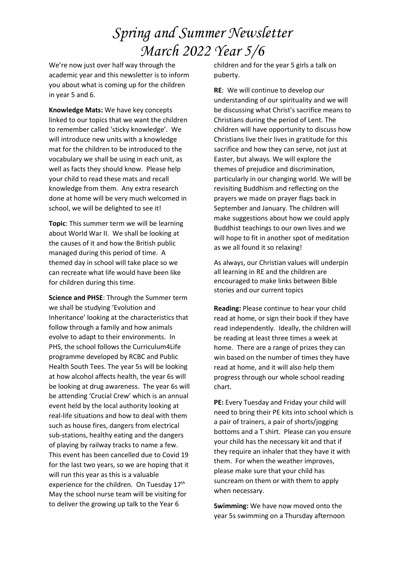## *Spring and Summer Newsletter March 2022 Year 5/6*

We're now just over half way through the academic year and this newsletter is to inform you about what is coming up for the children in year 5 and 6.

**Knowledge Mats:** We have key concepts linked to our topics that we want the children to remember called 'sticky knowledge'. We will introduce new units with a knowledge mat for the children to be introduced to the vocabulary we shall be using in each unit, as well as facts they should know. Please help your child to read these mats and recall knowledge from them. Any extra research done at home will be very much welcomed in school, we will be delighted to see it!

**Topic**: This summer term we will be learning about World War II. We shall be looking at the causes of it and how the British public managed during this period of time. A themed day in school will take place so we can recreate what life would have been like for children during this time.

**Science and PHSE**: Through the Summer term we shall be studying 'Evolution and Inheritance' looking at the characteristics that follow through a family and how animals evolve to adapt to their environments. In PHS, the school follows the Curriculum4Life programme developed by RCBC and Public Health South Tees. The year 5s will be looking at how alcohol affects health, the year 6s will be looking at drug awareness. The year 6s will be attending 'Crucial Crew' which is an annual event held by the local authority looking at real-life situations and how to deal with them such as house fires, dangers from electrical sub-stations, healthy eating and the dangers of playing by railway tracks to name a few. This event has been cancelled due to Covid 19 for the last two years, so we are hoping that it will run this year as this is a valuable experience for the children. On Tuesday 17<sup>th</sup> May the school nurse team will be visiting for to deliver the growing up talk to the Year 6

children and for the year 5 girls a talk on puberty.

**RE**: We will continue to develop our understanding of our spirituality and we will be discussing what Christ's sacrifice means to Christians during the period of Lent. The children will have opportunity to discuss how Christians live their lives in gratitude for this sacrifice and how they can serve, not just at Easter, but always. We will explore the themes of prejudice and discrimination, particularly in our changing world. We will be revisiting Buddhism and reflecting on the prayers we made on prayer flags back in September and January. The children will make suggestions about how we could apply Buddhist teachings to our own lives and we will hope to fit in another spot of meditation as we all found it so relaxing!

As always, our Christian values will underpin all learning in RE and the children are encouraged to make links between Bible stories and our current topics

**Reading:** Please continue to hear your child read at home, or sign their book if they have read independently. Ideally, the children will be reading at least three times a week at home. There are a range of prizes they can win based on the number of times they have read at home, and it will also help them progress through our whole school reading chart.

**PE:** Every Tuesday and Friday your child will need to bring their PE kits into school which is a pair of trainers, a pair of shorts/jogging bottoms and a T shirt. Please can you ensure your child has the necessary kit and that if they require an inhaler that they have it with them. For when the weather improves, please make sure that your child has suncream on them or with them to apply when necessary.

**Swimming:** We have now moved onto the year 5s swimming on a Thursday afternoon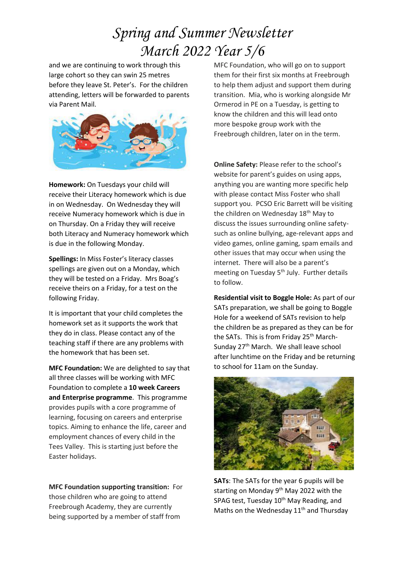## *Spring and Summer Newsletter March 2022 Year 5/6*

and we are continuing to work through this large cohort so they can swin 25 metres before they leave St. Peter's. For the children attending, letters will be forwarded to parents via Parent Mail.



**Homework:** On Tuesdays your child will receive their Literacy homework which is due in on Wednesday. On Wednesday they will receive Numeracy homework which is due in on Thursday. On a Friday they will receive both Literacy and Numeracy homework which is due in the following Monday.

**Spellings:** In Miss Foster's literacy classes spellings are given out on a Monday, which they will be tested on a Friday. Mrs Boag's receive theirs on a Friday, for a test on the following Friday.

It is important that your child completes the homework set as it supports the work that they do in class. Please contact any of the teaching staff if there are any problems with the homework that has been set.

**MFC Foundation:** We are delighted to say that all three classes will be working with MFC Foundation to complete a **10 week Careers and Enterprise programme**. This programme provides pupils with a core programme of learning, focusing on careers and enterprise topics. Aiming to enhance the life, career and employment chances of every child in the Tees Valley. This is starting just before the Easter holidays.

**MFC Foundation supporting transition:** For those children who are going to attend Freebrough Academy, they are currently being supported by a member of staff from

MFC Foundation, who will go on to support them for their first six months at Freebrough to help them adjust and support them during transition. Mia, who is working alongside Mr Ormerod in PE on a Tuesday, is getting to know the children and this will lead onto more bespoke group work with the Freebrough children, later on in the term.

**Online Safety:** Please refer to the school's website for parent's guides on using apps, anything you are wanting more specific help with please contact Miss Foster who shall support you. PCSO Eric Barrett will be visiting the children on Wednesday 18<sup>th</sup> May to discuss the issues surrounding online safetysuch as online bullying, age-relevant apps and video games, online gaming, spam emails and other issues that may occur when using the internet. There will also be a parent's meeting on Tuesday 5<sup>th</sup> July. Further details to follow.

**Residential visit to Boggle Hole:** As part of our SATs preparation, we shall be going to Boggle Hole for a weekend of SATs revision to help the children be as prepared as they can be for the SATs. This is from Friday 25<sup>th</sup> March-Sunday 27<sup>th</sup> March. We shall leave school after lunchtime on the Friday and be returning to school for 11am on the Sunday.



**SATs**: The SATs for the year 6 pupils will be starting on Monday 9<sup>th</sup> May 2022 with the SPAG test, Tuesday 10<sup>th</sup> May Reading, and Maths on the Wednesday 11<sup>th</sup> and Thursday